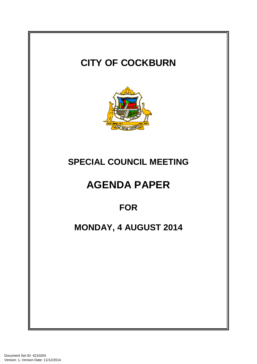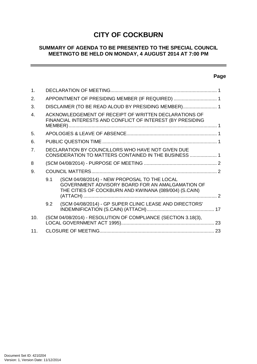# **CITY OF COCKBURN**

# **SUMMARY OF AGENDA TO BE PRESENTED TO THE SPECIAL COUNCIL MEETINGTO BE HELD ON MONDAY, 4 AUGUST 2014 AT 7:00 PM**

# **Page**

 $=$ 

| 1.             |                                                  |                                                                                                                                                           |  |  |  |  |  |
|----------------|--------------------------------------------------|-----------------------------------------------------------------------------------------------------------------------------------------------------------|--|--|--|--|--|
| 2.             | APPOINTMENT OF PRESIDING MEMBER (IF REQUIRED)  1 |                                                                                                                                                           |  |  |  |  |  |
| 3.             |                                                  | DISCLAIMER (TO BE READ ALOUD BY PRESIDING MEMBER) 1                                                                                                       |  |  |  |  |  |
| $\mathbf{4}$ . |                                                  | ACKNOWLEDGEMENT OF RECEIPT OF WRITTEN DECLARATIONS OF<br>FINANCIAL INTERESTS AND CONFLICT OF INTEREST (BY PRESIDING                                       |  |  |  |  |  |
| 5.             |                                                  |                                                                                                                                                           |  |  |  |  |  |
| 6.             |                                                  |                                                                                                                                                           |  |  |  |  |  |
| 7 <sub>1</sub> |                                                  | DECLARATION BY COUNCILLORS WHO HAVE NOT GIVEN DUE<br>CONSIDERATION TO MATTERS CONTAINED IN THE BUSINESS  1                                                |  |  |  |  |  |
| 8              |                                                  |                                                                                                                                                           |  |  |  |  |  |
| 9.             |                                                  |                                                                                                                                                           |  |  |  |  |  |
|                | 9.1                                              | (SCM 04/08/2014) - NEW PROPOSAL TO THE LOCAL<br>GOVERNMENT ADVISORY BOARD FOR AN AMALGAMATION OF<br>THE CITIES OF COCKBURN AND KWINANA (089/004) (S.CAIN) |  |  |  |  |  |
|                | 9.2                                              | (SCM 04/08/2014) - GP SUPER CLINIC LEASE AND DIRECTORS'                                                                                                   |  |  |  |  |  |
| 10.            |                                                  | (SCM 04/08/2014) - RESOLUTION OF COMPLIANCE (SECTION 3.18(3),                                                                                             |  |  |  |  |  |
| 11.            |                                                  |                                                                                                                                                           |  |  |  |  |  |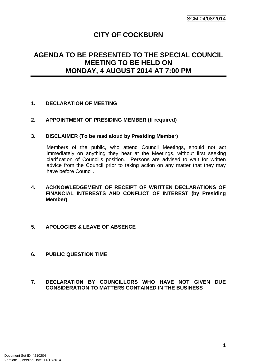# **CITY OF COCKBURN**

# **AGENDA TO BE PRESENTED TO THE SPECIAL COUNCIL MEETING TO BE HELD ON MONDAY, 4 AUGUST 2014 AT 7:00 PM**

# **1. DECLARATION OF MEETING**

# **2. APPOINTMENT OF PRESIDING MEMBER (If required)**

#### **3. DISCLAIMER (To be read aloud by Presiding Member)**

Members of the public, who attend Council Meetings, should not act immediately on anything they hear at the Meetings, without first seeking clarification of Council's position. Persons are advised to wait for written advice from the Council prior to taking action on any matter that they may have before Council.

- **4. ACKNOWLEDGEMENT OF RECEIPT OF WRITTEN DECLARATIONS OF FINANCIAL INTERESTS AND CONFLICT OF INTEREST (by Presiding Member)**
- **5. APOLOGIES & LEAVE OF ABSENCE**
- **6. PUBLIC QUESTION TIME**
- **7. DECLARATION BY COUNCILLORS WHO HAVE NOT GIVEN DUE CONSIDERATION TO MATTERS CONTAINED IN THE BUSINESS**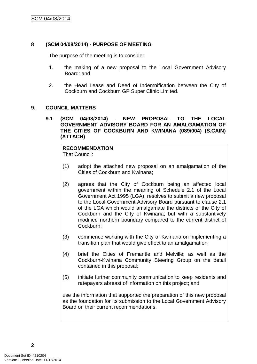### **8 (SCM 04/08/2014) - PURPOSE OF MEETING**

The purpose of the meeting is to consider:

- 1. the making of a new proposal to the Local Government Advisory Board: and
- 2. the Head Lease and Deed of Indemnification between the City of Cockburn and Cockburn GP Super Clinic Limited.

#### **9. COUNCIL MATTERS**

#### **9.1 (SCM 04/08/2014) - NEW PROPOSAL TO THE LOCAL GOVERNMENT ADVISORY BOARD FOR AN AMALGAMATION OF THE CITIES OF COCKBURN AND KWINANA (089/004) (S.CAIN) (ATTACH)**

# **RECOMMENDATION**

That Council:

- (1) adopt the attached new proposal on an amalgamation of the Cities of Cockburn and Kwinana;
- (2) agrees that the City of Cockburn being an affected local government within the meaning of Schedule 2.1 of the Local Government Act 1995 (LGA), resolves to submit a new proposal to the Local Government Advisory Board pursuant to clause 2.1 of the LGA which would amalgamate the districts of the City of Cockburn and the City of Kwinana; but with a substantively modified northern boundary compared to the current district of Cockburn;
- (3) commence working with the City of Kwinana on implementing a transition plan that would give effect to an amalgamation;
- (4) brief the Cities of Fremantle and Melville; as well as the Cockburn-Kwinana Community Steering Group on the detail contained in this proposal;
- (5) initiate further community communication to keep residents and ratepayers abreast of information on this project; and

use the information that supported the preparation of this new proposal as the foundation for its submission to the Local Government Advisory Board on their current recommendations.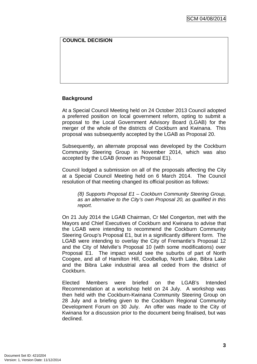### **COUNCIL DECISION**

#### **Background**

At a Special Council Meeting held on 24 October 2013 Council adopted a preferred position on local government reform, opting to submit a proposal to the Local Government Advisory Board (LGAB) for the merger of the whole of the districts of Cockburn and Kwinana. This proposal was subsequently accepted by the LGAB as Proposal 20.

Subsequently, an alternate proposal was developed by the Cockburn Community Steering Group in November 2014, which was also accepted by the LGAB (known as Proposal E1).

Council lodged a submission on all of the proposals affecting the City at a Special Council Meeting held on 6 March 2014. The Council resolution of that meeting changed its official position as follows:

*(8) Supports Proposal E1 – Cockburn Community Steering Group, as an alternative to the City's own Proposal 20, as qualified in this report.* 

On 21 July 2014 the LGAB Chairman, Cr Mel Congerton, met with the Mayors and Chief Executives of Cockburn and Kwinana to advise that the LGAB were intending to recommend the Cockburn Community Steering Group's Proposal E1, but in a significantly different form. The LGAB were intending to overlay the City of Fremantle's Proposal 12 and the City of Melville's Proposal 10 (with some modifications) over Proposal E1. The impact would see the suburbs of part of North Coogee, and all of Hamilton Hill, Coolbellup, North Lake, Bibra Lake and the Bibra Lake industrial area all ceded from the district of **Cockburn** 

Elected Members were briefed on the LGAB's Intended Recommendation at a workshop held on 24 July. A workshop was then held with the Cockburn-Kwinana Community Steering Group on 28 July and a briefing given to the Cockburn Regional Community Development Forum on 30 July. An offer was made to the City of Kwinana for a discussion prior to the document being finalised, but was declined.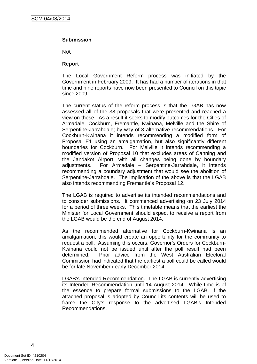#### **Submission**

N/A

#### **Report**

The Local Government Reform process was initiated by the Government in February 2009. It has had a number of iterations in that time and nine reports have now been presented to Council on this topic since 2009.

The current status of the reform process is that the LGAB has now assessed all of the 38 proposals that were presented and reached a view on these. As a result it seeks to modify outcomes for the Cities of Armadale, Cockburn, Fremantle, Kwinana, Melville and the Shire of Serpentine-Jarrahdale; by way of 3 alternative recommendations. For Cockburn-Kwinana it intends recommending a modified form of Proposal E1 using an amalgamation, but also significantly different boundaries for Cockburn. For Melville it intends recommending a modified version of Proposal 10 that excludes areas of Canning and the Jandakot Airport, with all changes being done by boundary adjustments. For Armadale – Serpentine-Jarrahdale, it intends recommending a boundary adjustment that would see the abolition of Serpentine-Jarrahdale. The implication of the above is that the LGAB also intends recommending Fremantle's Proposal 12.

The LGAB is required to advertise its intended recommendations and to consider submissions. It commenced advertising on 23 July 2014 for a period of three weeks. This timetable means that the earliest the Minister for Local Government should expect to receive a report from the LGAB would be the end of August 2014.

As the recommended alternative for Cockburn-Kwinana is an amalgamation, this would create an opportunity for the community to request a poll. Assuming this occurs, Governor's Orders for Cockburn-Kwinana could not be issued until after the poll result had been determined. Prior advice from the West Australian Electoral Commission had indicated that the earliest a poll could be called would be for late November / early December 2014.

LGAB's Intended Recommendation. The LGAB is currently advertising its Intended Recommendation until 14 August 2014. While time is of the essence to prepare formal submissions to the LGAB, if the attached proposal is adopted by Council its contents will be used to frame the City's response to the advertised LGAB's Intended Recommendations.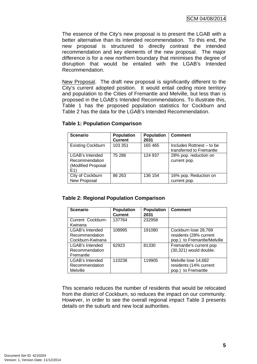The essence of the City's new proposal is to present the LGAB with a better alternative than its intended recommendation. To this end, the new proposal is structured to directly contrast the intended recommendation and key elements of the new proposal. The major difference is for a new northern boundary that minimises the degree of disruption that would be entailed with the LGAB's Intended Recommendation.

New Proposal. The draft new proposal is significantly different to the City's current adopted position. It would entail ceding more territory and population to the Cities of Fremantle and Melville, but less than is proposed in the LGAB's Intended Recommendations. To illustrate this, Table 1 has the proposed population statistics for Cockburn and Table 2 has the data for the LGAB's Intended Recommendation.

| <b>Scenario</b>                                                | <b>Population</b><br><b>Current</b> | <b>Population</b><br>2031 | <b>Comment</b>                                        |
|----------------------------------------------------------------|-------------------------------------|---------------------------|-------------------------------------------------------|
| <b>Existing Cockburn</b>                                       | 103 351                             | 165 465                   | Includes Rottnest – to be<br>transferred to Fremantle |
| LGAB's Intended<br>Recommendation<br>(Modified Proposal<br>E1) | 75 286                              | 124 937                   | 28% pop. reduction on<br>current pop.                 |
| City of Cockburn<br>New Proposal                               | 86 263                              | 136 154                   | 16% pop. Reduction on<br>current pop.                 |

#### **Table 1: Population Comparison**

#### **Table 2: Regional Population Comparison**

| <b>Scenario</b>                                       | <b>Population</b><br><b>Current</b> | <b>Population</b><br>2031 | <b>Comment</b>                                                                |
|-------------------------------------------------------|-------------------------------------|---------------------------|-------------------------------------------------------------------------------|
| Current Cockburn-<br>Kwinana                          | 137764                              | 232958                    |                                                                               |
| LGAB's Intended<br>Recommendation<br>Cockburn-Kwinana | 108995                              | 191080                    | Cockburn lose 28,769<br>residents (28% current<br>pop.) to Fremantle/Melville |
| LGAB's Intended<br>Recommendation<br>Fremantle        | 62923                               | 81330                     | Fremantle's current pop<br>(30,321) would double.                             |
| LGAB's Intended<br>Recommendation<br>Melville         | 110238                              | 119905                    | Melville lose 14,682<br>residents (14% current<br>pop.) to Fremantle          |

This scenario reduces the number of residents that would be relocated from the district of Cockburn, so reduces the impact on our community. However, in order to see the overall regional impact Table 3 presents details on the suburb and new local authorities.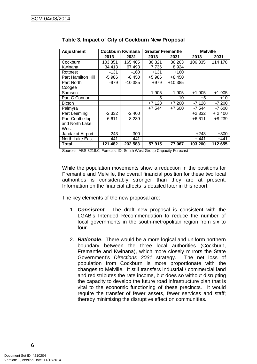| <b>Adjustment</b>  | <b>Cockburn Kwinana</b> |           | <b>Greater Fremantle</b> |         | <b>Melville</b> |         |  |
|--------------------|-------------------------|-----------|--------------------------|---------|-----------------|---------|--|
|                    | 2013                    | 2031      | 2013                     | 2031    | 2013            | 2031    |  |
| Cockburn           | 103 351                 | 165 465   | 30 321                   | 36 263  | 106 335         | 114 170 |  |
| Kwinana            | 34 413                  | 67 493    | 7736                     | 8924    |                 |         |  |
| Rottnest           | $-131$                  | $-160$    | $+131$                   | $+160$  |                 |         |  |
| Part Hamilton Hill | $-5986$                 | $-8450$   | +5 986                   | $+8450$ |                 |         |  |
| Part North         | $-979$                  | $-10.385$ | $+979$                   | +10 385 |                 |         |  |
| Coogee             |                         |           |                          |         |                 |         |  |
| Samson             |                         |           | $-1905$                  | - 1905  | $+1905$         | $+1905$ |  |
| Part O'Connor      |                         |           | -5                       | -10     | +5              | $+10$   |  |
| <b>Bicton</b>      |                         |           | $+7128$                  | $+7200$ | -7 128          | $-7200$ |  |
| Palmyra            |                         |           | +7 544                   | $+7600$ | -7 544          | $-7600$ |  |
| Part Leeming       | $-2332$                 | $-2400$   |                          |         | +2 332          | $+2400$ |  |
| Part Coolbellup    | $-6611$                 | $-8239$   |                          |         | $+6611$         | +8 239  |  |
| and North Lake     |                         |           |                          |         |                 |         |  |
| West               |                         |           |                          |         |                 |         |  |
| Jandakot Airport   | $-243$                  | $-300$    |                          |         | $+243$          | $+300$  |  |
| North Lake East    | -441                    | -441      |                          |         | $+441$          | $+441$  |  |
| Total              | 121 482                 | 202 583   | 57915                    | 77 067  | 103 200         | 112 655 |  |

|  |  |  | Table 3. Impact of City of Cockburn New Proposal |  |  |
|--|--|--|--------------------------------------------------|--|--|
|--|--|--|--------------------------------------------------|--|--|

Sources: ABS 3218.0, Forecast ID, South West Group Capacity Forecast

While the population movements show a reduction in the positions for Fremantle and Melville, the overall financial position for these two local authorities is considerably stronger than they are at present. Information on the financial affects is detailed later in this report.

The key elements of the new proposal are:

- 1. *Consistent*. The draft new proposal is consistent with the LGAB's Intended Recommendation to reduce the number of local governments in the south-metropolitan region from six to four.
- 2. *Rationale*. There would be a more logical and uniform northern boundary between the three local authorities (Cockburn, Fremantle and Kwinana), which more closely mirrors the State Government's *Directions 2031* strategy. The net loss of population from Cockburn is more proportionate with the changes to Melville. It still transfers industrial / commercial land and redistributes the rate income, but does so without disrupting the capacity to develop the future road infrastructure plan that is vital to the economic functioning of these precincts. It would require the transfer of fewer assets, fewer services and staff; thereby minimising the disruptive effect on communities.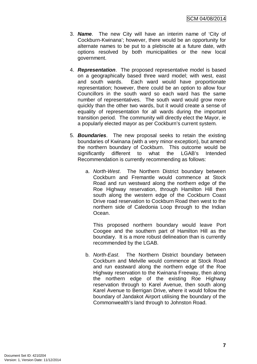- 3. *Name*. The new City will have an interim name of 'City of Cockburn-Kwinana'; however, there would be an opportunity for alternate names to be put to a plebiscite at a future date, with options resolved by both municipalities or the new local government.
- 4. *Representation*. The proposed representative model is based on a geographically based three ward model; with west, east and south wards. Each ward would have proportionate representation; however, there could be an option to allow four Councillors in the south ward so each ward has the same number of representatives. The south ward would grow more quickly than the other two wards, but it would create a sense of equality of representation for all wards during the important transition period. The community will directly elect the Mayor, ie a popularly elected mayor as per Cockburn's current system.
- 5. *Boundaries*. The new proposal seeks to retain the existing boundaries of Kwinana (with a very minor exception), but amend the northern boundary of Cockburn. This outcome would be significantly different to what the LGAB's Intended Recommendation is currently recommending as follows:
	- a. *North-West*. The Northern District boundary between Cockburn and Fremantle would commence at Stock Road and run westward along the northern edge of the Roe Highway reservation, through Hamilton Hill then south along the western edge of the Cockburn Coast Drive road reservation to Cockburn Road then west to the northern side of Caledonia Loop through to the Indian Ocean.

This proposed northern boundary would leave Port Coogee and the southern part of Hamilton Hill as the boundary. It is a more robust delineation than is currently recommended by the LGAB.

b. *North-East*. The Northern District boundary between Cockburn and Melville would commence at Stock Road and run eastward along the northern edge of the Roe Highway reservation to the Kwinana Freeway, then along the northern edge of the existing Roe Highway reservation through to Karel Avenue, then south along Karel Avenue to Berrigan Drive, where it would follow the boundary of Jandakot Airport utilising the boundary of the Commonwealth's land through to Johnston Road.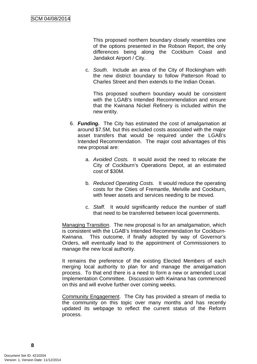This proposed northern boundary closely resembles one of the options presented in the Robson Report, the only differences being along the Cockburn Coast and Jandakot Airport / City.

c. *South.* Include an area of the City of Rockingham with the new district boundary to follow Patterson Road to Charles Street and then extends to the Indian Ocean.

This proposed southern boundary would be consistent with the LGAB's Intended Recommendation and ensure that the Kwinana Nickel Refinery is included within the new entity.

- 6. *Funding.* The City has estimated the cost of amalgamation at around \$7.5M, but this excluded costs associated with the major asset transfers that would be required under the LGAB's Intended Recommendation. The major cost advantages of this new proposal are:
	- a. *Avoided Costs.* It would avoid the need to relocate the City of Cockburn's Operations Depot, at an estimated cost of \$30M.
	- b. *Reduced Operating Costs.* It would reduce the operating costs for the Cities of Fremantle, Melville and Cockburn, with fewer assets and services needing to be moved.
	- c. *Staff.* It would significantly reduce the number of staff that need to be transferred between local governments.

Managing Transition. The new proposal is for an amalgamation, which is consistent with the LGAB's Intended Recommendation for Cockburn-Kwinana. This outcome, if finally adopted by way of Governor's Orders, will eventually lead to the appointment of Commissioners to manage the new local authority.

It remains the preference of the existing Elected Members of each merging local authority to plan for and manage the amalgamation process. To that end there is a need to form a new or amended Local Implementation Committee. Discussion with Kwinana has commenced on this and will evolve further over coming weeks.

Community Engagement. The City has provided a stream of media to the community on this topic over many months and has recently updated its webpage to reflect the current status of the Reform process.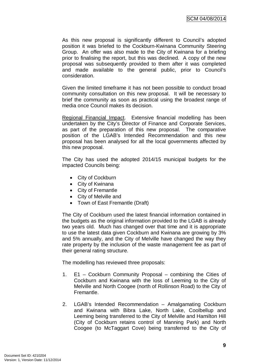As this new proposal is significantly different to Council's adopted position it was briefed to the Cockburn-Kwinana Community Steering Group. An offer was also made to the City of Kwinana for a briefing prior to finalising the report, but this was declined. A copy of the new proposal was subsequently provided to them after it was completed and made available to the general public, prior to Council's consideration.

Given the limited timeframe it has not been possible to conduct broad community consultation on this new proposal. It will be necessary to brief the community as soon as practical using the broadest range of media once Council makes its decision.

Regional Financial Impact. Extensive financial modelling has been undertaken by the City's Director of Finance and Corporate Services, as part of the preparation of this new proposal. The comparative position of the LGAB's Intended Recommendation and this new proposal has been analysed for all the local governments affected by this new proposal.

The City has used the adopted 2014/15 municipal budgets for the impacted Councils being:

- City of Cockburn
- City of Kwinana
- City of Fremantle
- City of Melville and
- Town of East Fremantle (Draft)

The City of Cockburn used the latest financial information contained in the budgets as the original information provided to the LGAB is already two years old. Much has changed over that time and it is appropriate to use the latest data given Cockburn and Kwinana are growing by 3% and 5% annually, and the City of Melville have changed the way they rate property by the inclusion of the waste management fee as part of their general rating structure.

The modelling has reviewed three proposals:

- 1. E1 Cockburn Community Proposal combining the Cities of Cockburn and Kwinana with the loss of Leeming to the City of Melville and North Coogee (north of Rollinson Road) to the City of Fremantle.
- 2. LGAB's Intended Recommendation Amalgamating Cockburn and Kwinana with Bibra Lake, North Lake, Coolbellup and Leeming being transferred to the City of Melville and Hamilton Hill (City of Cockburn retains control of Manning Park) and North Coogee (to McTaggart Cove) being transferred to the City of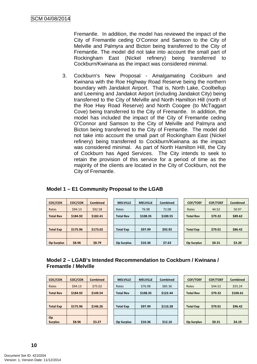Fremantle. In addition, the model has reviewed the impact of the City of Fremantle ceding O'Connor and Samson to the City of Melville and Palmyra and Bicton being transferred to the City of Fremantle. The model did not take into account the small part of Rockingham East (Nickel refinery) being transferred to Cockburn/Kwinana as the impact was considered minimal.

3. Cockburn's New Proposal - Amalgamating Cockburn and Kwinana with the Roe Highway Road Reserve being the northern boundary with Jandakot Airport. That is, North Lake, Coolbellup and Leeming and Jandakot Airport (including Jandakot City) being transferred to the City of Melville and North Hamilton Hill (north of the Roe Hwy Road Reserve) and North Coogee (to McTaggart Cove) being transferred to the City of Fremantle. In addition, the model has included the impact of the City of Fremantle ceding O'Connor and Samson to the City of Melville and Palmyra and Bicton being transferred to the City of Fremantle. The model did not take into account the small part of Rockingham East (Nickel refinery) being transferred to Cockburn/Kwinana as the impact was considered minimal. As part of North Hamilton Hill, the City of Cockburn has Aged Services. The City intends to seek to retain the provision of this service for a period of time as the majority of the clients are located in the City of Cockburn, not the City of Fremantle.

| COC/COK           | COC/COK  | <b>Combined</b> | <b>MELVILLE</b>   | <b>MELVILLE</b> | <b>Combined</b> | <b>COF/TOEF</b>   | <b>COF/TOEF</b> | <b>Combined</b> |
|-------------------|----------|-----------------|-------------------|-----------------|-----------------|-------------------|-----------------|-----------------|
| Rates             | \$94.13  | \$92.58         | Rates             | 76.98           | 72.08           | Rates             | 44.52           | 50.97           |
| <b>Total Rev</b>  | \$184.92 | \$182.41        | <b>Total Rev</b>  | \$108.35        | \$100.55        | <b>Total Rev</b>  | \$79.32         | \$89.62         |
|                   |          |                 |                   |                 |                 |                   |                 |                 |
| <b>Total Exp</b>  | \$175.96 | \$173.62        | <b>Total Exp</b>  | \$97.99         | \$92.92         | <b>Total Exp</b>  | \$79.01         | \$86.42         |
|                   |          |                 |                   |                 |                 |                   |                 |                 |
| <b>Op Surplus</b> | \$8.96   | \$8.79          | <b>Op Surplus</b> | \$10.36         | \$7.63          | <b>Op Surplus</b> | \$0.31          | \$3.20          |

#### **Model 1 – E1 Community Proposal to the LGAB**

# **Model 2 – LGAB's Intended Recommendation to Cockburn / Kwinana / Fremantle / Melville**

| COC/COK          | COC/COK  | <b>Combined</b> | <b>MELVILLE</b>   | <b>MELVILLE</b> | <b>Combined</b> | <b>COF/TOEF</b>   | <b>COF/TOEF</b> | <b>Combined</b> |
|------------------|----------|-----------------|-------------------|-----------------|-----------------|-------------------|-----------------|-----------------|
| Rates            | \$94.13  | \$75.02         | Rates             | \$76.98         | \$85.36         | Rates             | \$44.52         | \$55.24         |
| <b>Total Rev</b> | \$184.92 | \$149.54        | <b>Total Rev</b>  | \$108.35        | \$122.44        | <b>Total Rev</b>  | \$79.32         | \$100.61        |
|                  |          |                 |                   |                 |                 |                   |                 |                 |
| <b>Total Exp</b> | \$175.96 | \$146.26        | <b>Total Exp</b>  | \$97.99         | \$110.28        | <b>Total Exp</b>  | \$79.01         | \$96.42         |
|                  |          |                 |                   |                 |                 |                   |                 |                 |
| Op               |          |                 |                   |                 |                 |                   |                 |                 |
| <b>Surplus</b>   | \$8.96   | \$3.27          | <b>Op Surplus</b> | \$10.36         | \$12.16         | <b>Op Surplus</b> | \$0.31          | \$4.19          |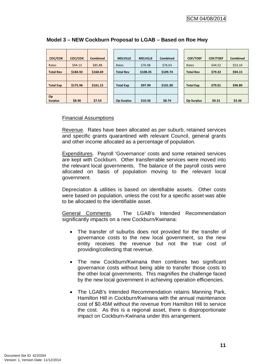| COC/COK          | COC/COK  | <b>Combined</b> | <b>MELVILLE</b>   | <b>MELVILLE</b> | <b>Combined</b> | <b>COF/TOEF</b>   | <b>COF/TOEF</b> | <b>Combined</b> |
|------------------|----------|-----------------|-------------------|-----------------|-----------------|-------------------|-----------------|-----------------|
| Rates            | \$94.13  | \$85.88         | Rates             | \$76.98         | \$76.63         | Rates             | \$44.52         | \$53.10         |
| <b>Total Rev</b> | \$184.92 | \$168.69        | <b>Total Rev</b>  | \$108.35        | \$109.74        | <b>Total Rev</b>  | \$79.32         | \$94.15         |
|                  |          |                 |                   |                 |                 |                   |                 |                 |
| <b>Total Exp</b> | \$175.96 | \$161.15        | <b>Total Exp</b>  | \$97.99         | \$101.00        | <b>Total Exp</b>  | \$79.01         | \$90.80         |
|                  |          |                 |                   |                 |                 |                   |                 |                 |
| Op               |          |                 |                   |                 |                 |                   |                 |                 |
| <b>Surplus</b>   | \$8.96   | \$7.53          | <b>Op Surplus</b> | \$10.36         | \$8.74          | <b>Op Surplus</b> | \$0.31          | \$3.36          |

# **Model 3 – NEW Cockburn Proposal to LGAB – Based on Roe Hwy**

#### Financial Assumptions

Revenue. Rates have been allocated as per suburb, retained services and specific grants quarantined with relevant Council, general grants and other income allocated as a percentage of population.

Expenditures. Payroll 'Governance' costs and some retained services are kept with Cockburn. Other transferrable services were moved into the relevant local governments. The balance of the payroll costs were allocated on basis of population moving to the relevant local government.

Depreciation & utilities is based on identifiable assets. Other costs were based on population, unless the cost for a specific asset was able to be allocated to the identifiable asset.

General Comments. The LGAB's Intended Recommendation significantly impacts on a new Cockburn/Kwinana:

- The transfer of suburbs does not provided for the transfer of governance costs to the new local government, so the new entity receives the revenue but not the true cost of providing/collecting that revenue.
- The new Cockburn/Kwinana then combines two significant governance costs without being able to transfer those costs to the other local governments. This magnifies the challenge faced by the new local government in achieving operation efficiencies.
- The LGAB's Intended Recommendation retains Manning Park, Hamilton Hill in Cockburn/Kwinana with the annual maintenance cost of \$0.45M without the revenue from Hamilton Hill to service the cost. As this is a regional asset, there is disproportionate impact on Cockburn-Kwinana under this arrangement.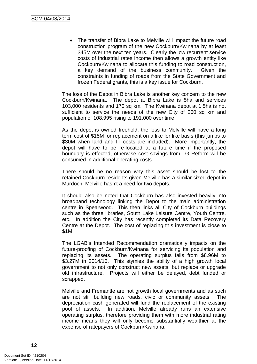• The transfer of Bibra Lake to Melville will impact the future road construction program of the new Cockburn/Kwinana by at least \$45M over the next ten years. Clearly the low recurrent service costs of industrial rates income then allows a growth entity like Cockburn/Kwinana to allocate this funding to road construction, a key demand of the business community. Given the constraints in funding of roads from the State Government and frozen Federal grants, this is a key issue for Cockburn.

The loss of the Depot in Bibra Lake is another key concern to the new Cockburn/Kwinana. The depot at Bibra Lake is 5ha and services 103,000 residents and 170 sq km. The Kwinana depot at 1.5ha is not sufficient to service the needs of the new City of 250 sq km and population of 108,995 rising to 191,000 over time.

As the depot is owned freehold, the loss to Melville will have a long term cost of \$15M for replacement on a like for like basis (this jumps to \$30M when land and IT costs are included). More importantly, the depot will have to be re-located at a future time if the proposed boundary is effected, otherwise cost savings from LG Reform will be consumed in additional operating costs.

There should be no reason why this asset should be lost to the retained Cockburn residents given Melville has a similar sized depot in Murdoch. Melville hasn't a need for two depots.

It should also be noted that Cockburn has also invested heavily into broadband technology linking the Depot to the main administration centre in Spearwood. This then links all City of Cockburn buildings such as the three libraries, South Lake Leisure Centre, Youth Centre, etc. In addition the City has recently completed its Data Recovery Centre at the Depot. The cost of replacing this investment is close to \$1M.

The LGAB's Intended Recommendation dramatically impacts on the future-proofing of Cockburn/Kwinana for servicing its population and replacing its assets. The operating surplus falls from \$8.96M to \$3.27M in 2014/15. This stymies the ability of a high growth local government to not only construct new assets, but replace or upgrade old infrastructure. Projects will either be delayed, debt funded or scrapped.

Melville and Fremantle are not growth local governments and as such are not still building new roads, civic or community assets. The depreciation cash generated will fund the replacement of the existing pool of assets. In addition, Melville already runs an extensive operating surplus, therefore providing them with more industrial rating income means they will only become substantially wealthier at the expense of ratepayers of Cockburn/Kwinana.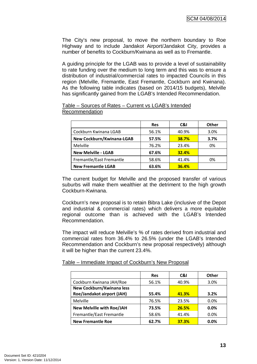The City's new proposal, to move the northern boundary to Roe Highway and to include Jandakot Airport/Jandakot City, provides a number of benefits to Cockburn/Kwinana as well as to Fremantle.

A guiding principle for the LGAB was to provide a level of sustainability to rate funding over the medium to long term and this was to ensure a distribution of industrial/commercial rates to impacted Councils in this region (Melville, Fremantle, East Fremantle, Cockburn and Kwinana). As the following table indicates (based on 2014/15 budgets), Melville has significantly gained from the LGAB's Intended Recommendation.

|                            | <b>Res</b> | C&I   | <b>Other</b> |
|----------------------------|------------|-------|--------------|
| Cockburn Kwinana LGAB      | 56.1%      | 40.9% | 3.0%         |
| New Cockburn/Kwinana-LGAB  | 57.5%      | 38.7% | 3.7%         |
| Melville                   | 76.2%      | 23.4% | 0%           |
| <b>New Melville - LGAB</b> | 67.6%      | 32.4% |              |
| Fremantle/East Fremantle   | 58.6%      | 41.4% | 0%           |
| <b>New Fremantle LGAB</b>  | 63.6%      | 36.4% |              |

#### Table – Sources of Rates – Current vs LGAB's Intended Recommendation

The current budget for Melville and the proposed transfer of various suburbs will make them wealthier at the detriment to the high growth Cockburn-Kwinana.

Cockburn's new proposal is to retain Bibra Lake (inclusive of the Depot and industrial & commercial rates) which delivers a more equitable regional outcome than is achieved with the LGAB's Intended Recommendation.

The impact will reduce Melville's % of rates derived from industrial and commercial rates from 36.4% to 26.5% (under the LGAB's Intended Recommendation and Cockburn's new proposal respectively) although it will be higher than the current 23.4%.

Table – Immediate Impact of Cockburn's New Proposal

|                                  | <b>Res</b> | C&I   | Other   |
|----------------------------------|------------|-------|---------|
| Cockburn Kwinana JAH/Roe         | 56.1%      | 40.9% | 3.0%    |
| New Cockburn/Kwinana less        |            |       |         |
| Roe/Jandakot airport (JAH)       | 55.4%      | 41.3% | 3.2%    |
| Melville                         | 76.5%      | 23.5% | 0.0%    |
| <b>New Melville with Roe/JAH</b> | 73.5%      | 26.5% | $0.0\%$ |
| Fremantle/East Fremantle         | 58.6%      | 41.4% | 0.0%    |
| <b>New Fremantle Roe</b>         | 62.7%      | 37.3% | $0.0\%$ |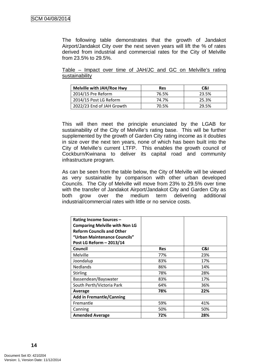The following table demonstrates that the growth of Jandakot Airport/Jandakot City over the next seven years will lift the % of rates derived from industrial and commercial rates for the City of Melville from 23.5% to 29.5%.

Table – Impact over time of JAH/JC and GC on Melville's rating sustainability

| <b>Melville with JAH/Roe Hwy</b> | <b>Res</b> | C&I   |
|----------------------------------|------------|-------|
| 2014/15 Pre Reform               | 76.5%      | 23.5% |
| 2014/15 Post LG Reform           | 74.7%      | 25.3% |
| 2022/23 End of JAH Growth        | 70.5%      | 29.5% |

This will then meet the principle enunciated by the LGAB for sustainability of the City of Melville's rating base. This will be further supplemented by the growth of Garden City rating income as it doubles in size over the next ten years, none of which has been built into the City of Melville's current LTFP. This enables the growth council of Cockburn/Kwinana to deliver its capital road and community infrastructure program.

As can be seen from the table below, the City of Melville will be viewed as very sustainable by comparison with other urban developed Councils. The City of Melville will move from 23% to 29.5% over time with the transfer of Jandakot Airport/Jandakot City and Garden City as both grow over the medium term delivering additional industrial/commercial rates with little or no service costs.

| <b>Rating Income Sources -</b><br><b>Comparing Melville with Non LG</b><br><b>Reform Councils and Other</b><br>"Urban Maintenance Councils"<br>Post LG Reform - 2013/14 |            |     |
|-------------------------------------------------------------------------------------------------------------------------------------------------------------------------|------------|-----|
| Council                                                                                                                                                                 | <b>Res</b> | C&I |
| Melville                                                                                                                                                                | 77%        | 23% |
| Joondalup                                                                                                                                                               | 83%        | 17% |
| <b>Nedlands</b>                                                                                                                                                         | 86%        | 14% |
| <b>Stirling</b>                                                                                                                                                         | 78%        | 28% |
| Bassendean/Bayswater                                                                                                                                                    | 83%        | 17% |
| South Perth/Victoria Park                                                                                                                                               | 64%        | 36% |
| Average                                                                                                                                                                 | 78%        | 22% |
| <b>Add in Fremantle/Canning</b>                                                                                                                                         |            |     |
| Fremantle                                                                                                                                                               | 59%        | 41% |
| Canning                                                                                                                                                                 | 50%        | 50% |
| <b>Amended Average</b>                                                                                                                                                  | 72%        | 28% |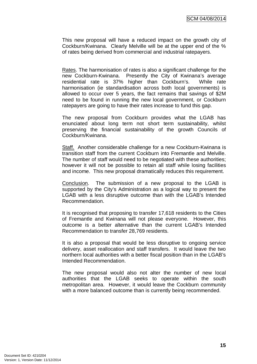This new proposal will have a reduced impact on the growth city of Cockburn/Kwinana. Clearly Melville will be at the upper end of the % of rates being derived from commercial and industrial ratepayers.

Rates. The harmonisation of rates is also a significant challenge for the new Cockburn-Kwinana. Presently the City of Kwinana's average residential rate is 37% higher than Cockburn's. While rate harmonisation (ie standardisation across both local governments) is allowed to occur over 5 years, the fact remains that savings of \$2M need to be found in running the new local government, or Cockburn ratepayers are going to have their rates increase to fund this gap.

The new proposal from Cockburn provides what the LGAB has enunciated about long term not short term sustainability, whilst preserving the financial sustainability of the growth Councils of Cockburn/Kwinana.

Staff. Another considerable challenge for a new Cockburn-Kwinana is transition staff from the current Cockburn into Fremantle and Melville. The number of staff would need to be negotiated with these authorities; however it will not be possible to retain all staff while losing facilities and income. This new proposal dramatically reduces this requirement.

Conclusion. The submission of a new proposal to the LGAB is supported by the City's Administration as a logical way to present the LGAB with a less disruptive outcome than with the LGAB's Intended Recommendation.

It is recognised that proposing to transfer 17,618 residents to the Cities of Fremantle and Kwinana will not please everyone. However, this outcome is a better alternative than the current LGAB's Intended Recommendation to transfer 28,769 residents.

It is also a proposal that would be less disruptive to ongoing service delivery, asset reallocation and staff transfers. It would leave the two northern local authorities with a better fiscal position than in the LGAB's Intended Recommendation.

The new proposal would also not alter the number of new local authorities that the LGAB seeks to operate within the south metropolitan area. However, it would leave the Cockburn community with a more balanced outcome than is currently being recommended.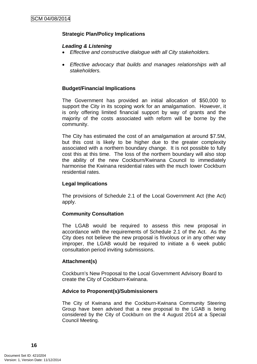### **Strategic Plan/Policy Implications**

#### *Leading & Listening*

- *Effective and constructive dialogue with all City stakeholders.*
- *Effective advocacy that builds and manages relationships with all stakeholders.*

#### **Budget/Financial Implications**

The Government has provided an initial allocation of \$50,000 to support the City in its scoping work for an amalgamation. However, it is only offering limited financial support by way of grants and the majority of the costs associated with reform will be borne by the community.

The City has estimated the cost of an amalgamation at around \$7.5M, but this cost is likely to be higher due to the greater complexity associated with a northern boundary change. It is not possible to fully cost this at this time. The loss of the northern boundary will also stop the ability of the new Cockburn/Kwinana Council to immediately harmonise the Kwinana residential rates with the much lower Cockburn residential rates.

#### **Legal Implications**

The provisions of Schedule 2.1 of the Local Government Act (the Act) apply.

#### **Community Consultation**

The LGAB would be required to assess this new proposal in accordance with the requirements of Schedule 2.1 of the Act. As the City does not believe the new proposal is frivolous or in any other way improper, the LGAB would be required to initiate a 6 week public consultation period inviting submissions.

#### **Attachment(s)**

Cockburn's New Proposal to the Local Government Advisory Board to create the City of Cockburn-Kwinana.

#### **Advice to Proponent(s)/Submissioners**

The City of Kwinana and the Cockburn-Kwinana Community Steering Group have been advised that a new proposal to the LGAB is being considered by the City of Cockburn on the 4 August 2014 at a Special Council Meeting.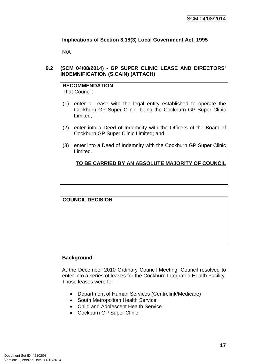# **Implications of Section 3.18(3) Local Government Act, 1995**

N/A

#### **9.2 (SCM 04/08/2014) - GP SUPER CLINIC LEASE AND DIRECTORS' INDEMNIFICATION (S.CAIN) (ATTACH)**

# **RECOMMENDATION**

That Council:

- (1) enter a Lease with the legal entity established to operate the Cockburn GP Super Clinic, being the Cockburn GP Super Clinic Limited;
- (2) enter into a Deed of Indemnity with the Officers of the Board of Cockburn GP Super Clinic Limited; and
- (3) enter into a Deed of Indemnity with the Cockburn GP Super Clinic Limited.

# **TO BE CARRIED BY AN ABSOLUTE MAJORITY OF COUNCIL**

# **Background**

At the December 2010 Ordinary Council Meeting, Council resolved to enter into a series of leases for the Cockburn Integrated Health Facility. Those leases were for:

- Department of Human Services (Centrelink/Medicare)
- South Metropolitan Health Service
- Child and Adolescent Health Service
- Cockburn GP Super Clinic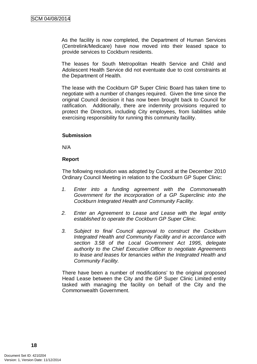As the facility is now completed, the Department of Human Services (Centrelink/Medicare) have now moved into their leased space to provide services to Cockburn residents.

The leases for South Metropolitan Health Service and Child and Adolescent Health Service did not eventuate due to cost constraints at the Department of Health.

The lease with the Cockburn GP Super Clinic Board has taken time to negotiate with a number of changes required. Given the time since the original Council decision it has now been brought back to Council for ratification. Additionally, there are indemnity provisions required to protect the Directors, including City employees, from liabilities while exercising responsibility for running this community facility.

#### **Submission**

N/A

#### **Report**

The following resolution was adopted by Council at the December 2010 Ordinary Council Meeting in relation to the Cockburn GP Super Clinic:

- *1. Enter into a funding agreement with the Commonwealth Government for the incorporation of a GP Superclinic into the Cockburn Integrated Health and Community Facility.*
- *2. Enter an Agreement to Lease and Lease with the legal entity established to operate the Cockburn GP Super Clinic.*
- *3. Subject to final Council approval to construct the Cockburn Integrated Health and Community Facility and in accordance with section 3.58 of the Local Government Act 1995, delegate authority to the Chief Executive Officer to negotiate Agreements to lease and leases for tenancies within the Integrated Health and Community Facility.*

There have been a number of modifications' to the original proposed Head Lease between the City and the GP Super Clinic Limited entity tasked with managing the facility on behalf of the City and the Commonwealth Government.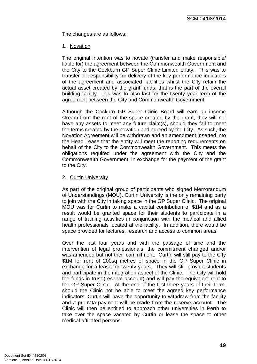The changes are as follows:

#### 1. Novation

The original intention was to novate (transfer and make responsible/ liable for) the agreement between the Commonwealth Government and the City to the Cockburn GP Super Clinic Limited entity. This was to transfer all responsibility for delivery of the key performance indicators of the agreement and associated liabilities whilst the City retain the actual asset created by the grant funds, that is the part of the overall building facility. This was to also last for the twenty year term of the agreement between the City and Commonwealth Government.

Although the Cockurn GP Super Clinic Board will earn an income stream from the rent of the space created by the grant, they will not have any assets to meet any future claim(s), should they fail to meet the terms created by the novation and agreed by the City. As such, the Novation Agreement will be withdrawn and an amendment inserted into the Head Lease that the entity will meet the reporting requirements on behalf of the City to the Commonwealth Government. This meets the obligations required under the agreement with the City and the Commonwealth Government, in exchange for the payment of the grant to the City.

#### 2. Curtin University

As part of the original group of participants who signed Memorandum of Understandings (MOU), Curtin University is the only remaining party to join with the City in taking space in the GP Super Clinic. The original MOU was for Curtin to make a capital contribution of \$1M and as a result would be granted space for their students to participate in a range of training activities in conjunction with the medical and allied health professionals located at the facility. In addition, there would be space provided for lectures, research and access to common areas.

Over the last four years and with the passage of time and the intervention of legal professionals, the commitment changed and/or was amended but not their commitment. Curtin will still pay to the City \$1M for rent of 200sq metres of space in the GP Super Clinic in exchange for a lease for twenty years. They will still provide students and participate in the integration aspect of the Clinic. The City will hold the funds in trust (reserve account) and will pay the equivalent rent to the GP Super Clinic. At the end of the first three years of their term, should the Clinic not be able to meet the agreed key performance indicators, Curtin will have the opportunity to withdraw from the facility and a pro-rata payment will be made from the reserve account. The Clinic will then be entitled to approach other universities in Perth to take over the space vacated by Curtin or lease the space to other medical affiliated persons.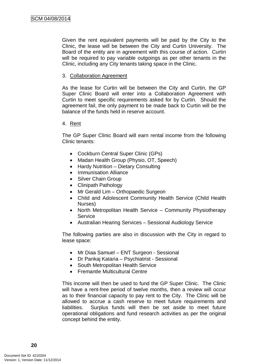Given the rent equivalent payments will be paid by the City to the Clinic, the lease will be between the City and Curtin University. The Board of the entity are in agreement with this course of action. Curtin will be required to pay variable outgoings as per other tenants in the Clinic, including any City tenants taking space in the Clinic.

#### 3. Collaboration Agreement

As the lease for Curtin will be between the City and Curtin, the GP Super Clinic Board will enter into a Collaboration Agreement with Curtin to meet specific requirements asked for by Curtin. Should the agreement fail, the only payment to be made back to Curtin will be the balance of the funds held in reserve account.

#### 4. Rent

The GP Super Clinic Board will earn rental income from the following Clinic tenants:

- Cockburn Central Super Clinic (GPs)
- Madan Health Group (Physio, OT, Speech)
- Hardy Nutrition Dietary Consulting
- Immunisation Alliance
- Silver Chain Group
- Clinipath Pathology
- Mr Gerald Lim Orthopaedic Surgeon
- Child and Adolescent Community Health Service (Child Health Nurses)
- North Metropolitan Health Service Community Physiotherapy **Service**
- Australian Hearing Services Sessional Audiology Service

The following parties are also in discussion with the City in regard to lease space:

- Mr Diaa Samuel ENT Surgeon Sessional
- Dr Pankaj Kataria Psychiatrist Sessional
- South Metropolitan Health Service
- Fremantle Multicultural Centre

This income will then be used to fund the GP Super Clinic. The Clinic will have a rent-free period of twelve months, then a review will occur as to their financial capacity to pay rent to the City. The Clinic will be allowed to accrue a cash reserve to meet future requirements and liabilities. Surplus funds will then be set aside to meet future operational obligations and fund research activities as per the original concept behind the entity.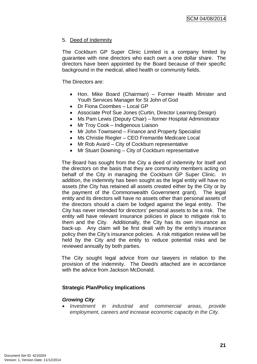# 5. Deed of Indemnity

The Cockburn GP Super Clinic Limited is a company limited by guarantee with nine directors who each own a one dollar share. The directors have been appointed by the Board because of their specific background in the medical, allied health or community fields.

The Directors are:

- Hon. Mike Board (Chairman) Former Health Minister and Youth Services Manager for St John of God
- Dr Fiona Coombes Local GP
- Associate Prof Sue Jones (Curtin, Director Learning Design)
- Ms Pam Lewis (Deputy Chair) former Hospital Administrator
- Mr Troy Cook Indigenous Liaison
- Mr John Townsend Finance and Property Specialist
- Ms Christie Riegler CEO Fremantle Medicare Local
- Mr Rob Avard City of Cockburn representative
- Mr Stuart Downing City of Cockburn representative

The Board has sought from the City a deed of indemnity for itself and the directors on the basis that they are community members acting on behalf of the City in managing the Cockburn GP Super Clinic. In addition, the indemnity has been sought as the legal entity will have no assets (the City has retained all assets created either by the City or by the payment of the Commonwealth Government grant). The legal entity and its directors will have no assets other than personal assets of the directors should a claim be lodged against the legal entity. The City has never intended for directors' personal assets to be a risk. The entity will have relevant insurance policies in place to mitigate risk to them and the City. Additionally, the City has its own insurance as back-up. Any claim will be first dealt with by the entity's insurance policy then the City's insurance policies. A risk mitigation review will be held by the City and the entity to reduce potential risks and be reviewed annually by both parties.

The City sought legal advice from our lawyers in relation to the provision of the indemnity. The Deed/s attached are in accordance with the advice from Jackson McDonald

#### **Strategic Plan/Policy Implications**

#### *Growing City*

• *Investment in industrial and commercial areas, provide employment, careers and increase economic capacity in the City.*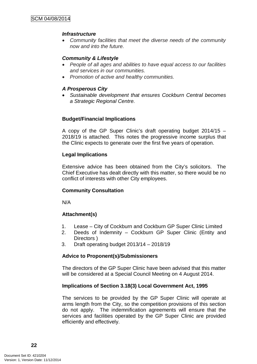#### *Infrastructure*

• *Community facilities that meet the diverse needs of the community now and into the future.*

# *Community & Lifestyle*

- *People of all ages and abilities to have equal access to our facilities and services in our communities.*
- *Promotion of active and healthy communities.*

### *A Prosperous City*

• *Sustainable development that ensures Cockburn Central becomes a Strategic Regional Centre.*

#### **Budget/Financial Implications**

A copy of the GP Super Clinic's draft operating budget 2014/15 – 2018/19 is attached. This notes the progressive income surplus that the Clinic expects to generate over the first five years of operation.

# **Legal Implications**

Extensive advice has been obtained from the City's solicitors. The Chief Executive has dealt directly with this matter, so there would be no conflict of interests with other City employees.

#### **Community Consultation**

N/A

# **Attachment(s)**

- 1. Lease City of Cockburn and Cockburn GP Super Clinic Limited
- 2. Deeds of Indemnity Cockburn GP Super Clinic (Entity and Directors )
- 3. Draft operating budget 2013/14 2018/19

#### **Advice to Proponent(s)/Submissioners**

The directors of the GP Super Clinic have been advised that this matter will be considered at a Special Council Meeting on 4 August 2014.

#### **Implications of Section 3.18(3) Local Government Act, 1995**

The services to be provided by the GP Super Clinic will operate at arms length from the City, so the competition provisions of this section do not apply. The indemnification agreements will ensure that the services and facilities operated by the GP Super Clinic are provided efficiently and effectively.